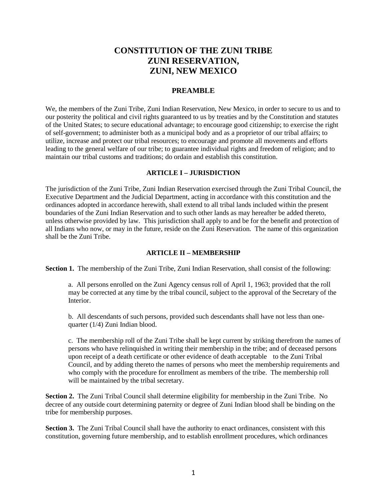# **CONSTITUTION OF THE ZUNI TRIBE ZUNI RESERVATION, ZUNI, NEW MEXICO**

## **PREAMBLE**

We, the members of the Zuni Tribe, Zuni Indian Reservation, New Mexico, in order to secure to us and to our posterity the political and civil rights guaranteed to us by treaties and by the Constitution and statutes of the United States; to secure educational advantage; to encourage good citizenship; to exercise the right of self-government; to administer both as a municipal body and as a proprietor of our tribal affairs; to utilize, increase and protect our tribal resources; to encourage and promote all movements and efforts leading to the general welfare of our tribe; to guarantee individual rights and freedom of religion; and to maintain our tribal customs and traditions; do ordain and establish this constitution.

#### **ARTICLE I – JURISDICTION**

The jurisdiction of the Zuni Tribe, Zuni Indian Reservation exercised through the Zuni Tribal Council, the Executive Department and the Judicial Department, acting in accordance with this constitution and the ordinances adopted in accordance herewith, shall extend to all tribal lands included within the present boundaries of the Zuni Indian Reservation and to such other lands as may hereafter be added thereto, unless otherwise provided by law. This jurisdiction shall apply to and be for the benefit and protection of all Indians who now, or may in the future, reside on the Zuni Reservation. The name of this organization shall be the Zuni Tribe.

#### **ARTICLE II – MEMBERSHIP**

**Section 1.** The membership of the Zuni Tribe, Zuni Indian Reservation, shall consist of the following:

a. All persons enrolled on the Zuni Agency census roll of April 1, 1963; provided that the roll may be corrected at any time by the tribal council, subject to the approval of the Secretary of the Interior.

b. All descendants of such persons, provided such descendants shall have not less than onequarter (1/4) Zuni Indian blood.

c. The membership roll of the Zuni Tribe shall be kept current by striking therefrom the names of persons who have relinquished in writing their membership in the tribe; and of deceased persons upon receipt of a death certificate or other evidence of death acceptable to the Zuni Tribal Council, and by adding thereto the names of persons who meet the membership requirements and who comply with the procedure for enrollment as members of the tribe. The membership roll will be maintained by the tribal secretary.

**Section 2.** The Zuni Tribal Council shall determine eligibility for membership in the Zuni Tribe. No decree of any outside court determining paternity or degree of Zuni Indian blood shall be binding on the tribe for membership purposes.

**Section 3.** The Zuni Tribal Council shall have the authority to enact ordinances, consistent with this constitution, governing future membership, and to establish enrollment procedures, which ordinances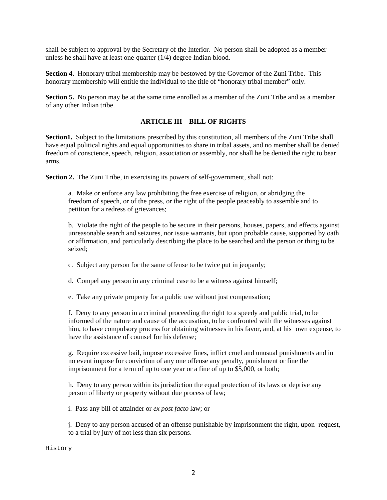shall be subject to approval by the Secretary of the Interior. No person shall be adopted as a member unless he shall have at least one-quarter (1/4) degree Indian blood.

**Section 4.** Honorary tribal membership may be bestowed by the Governor of the Zuni Tribe. This honorary membership will entitle the individual to the title of "honorary tribal member" only.

**Section 5.** No person may be at the same time enrolled as a member of the Zuni Tribe and as a member of any other Indian tribe.

## **ARTICLE III – BILL OF RIGHTS**

**Section1.** Subject to the limitations prescribed by this constitution, all members of the Zuni Tribe shall have equal political rights and equal opportunities to share in tribal assets, and no member shall be denied freedom of conscience, speech, religion, association or assembly, nor shall he be denied the right to bear arms.

**Section 2.** The Zuni Tribe, in exercising its powers of self-government, shall not:

a. Make or enforce any law prohibiting the free exercise of religion, or abridging the freedom of speech, or of the press, or the right of the people peaceably to assemble and to petition for a redress of grievances;

b. Violate the right of the people to be secure in their persons, houses, papers, and effects against unreasonable search and seizures, nor issue warrants, but upon probable cause, supported by oath or affirmation, and particularly describing the place to be searched and the person or thing to be seized;

c. Subject any person for the same offense to be twice put in jeopardy;

d. Compel any person in any criminal case to be a witness against himself;

e. Take any private property for a public use without just compensation;

f. Deny to any person in a criminal proceeding the right to a speedy and public trial, to be informed of the nature and cause of the accusation, to be confronted with the witnesses against him, to have compulsory process for obtaining witnesses in his favor, and, at his own expense, to have the assistance of counsel for his defense;

g. Require excessive bail, impose excessive fines, inflict cruel and unusual punishments and in no event impose for conviction of any one offense any penalty, punishment or fine the imprisonment for a term of up to one year or a fine of up to \$5,000, or both;

h. Deny to any person within its jurisdiction the equal protection of its laws or deprive any person of liberty or property without due process of law;

i. Pass any bill of attainder or *ex post facto* law; or

j. Deny to any person accused of an offense punishable by imprisonment the right, upon request, to a trial by jury of not less than six persons.

History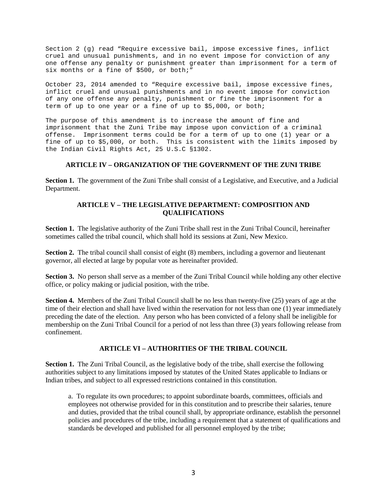Section 2 (g) read "Require excessive bail, impose excessive fines, inflict cruel and unusual punishments, and in no event impose for conviction of any one offense any penalty or punishment greater than imprisonment for a term of six months or a fine of \$500, or both;"

October 23, 2014 amended to "Require excessive bail, impose excessive fines, inflict cruel and unusual punishments and in no event impose for conviction of any one offense any penalty, punishment or fine the imprisonment for a term of up to one year or a fine of up to \$5,000, or both;

The purpose of this amendment is to increase the amount of fine and imprisonment that the Zuni Tribe may impose upon conviction of a criminal offense. Imprisonment terms could be for a term of up to one (1) year or a fine of up to \$5,000, or both. This is consistent with the limits imposed by the Indian Civil Rights Act, 25 U.S.C §1302.

#### **ARTICLE IV – ORGANIZATION OF THE GOVERNMENT OF THE ZUNI TRIBE**

**Section 1.** The government of the Zuni Tribe shall consist of a Legislative, and Executive, and a Judicial Department.

#### **ARTICLE V – THE LEGISLATIVE DEPARTMENT: COMPOSITION AND QUALIFICATIONS**

**Section 1.** The legislative authority of the Zuni Tribe shall rest in the Zuni Tribal Council, hereinafter sometimes called the tribal council, which shall hold its sessions at Zuni, New Mexico.

**Section 2.** The tribal council shall consist of eight (8) members, including a governor and lieutenant governor, all elected at large by popular vote as hereinafter provided.

**Section 3.** No person shall serve as a member of the Zuni Tribal Council while holding any other elective office, or policy making or judicial position, with the tribe.

**Section 4.** Members of the Zuni Tribal Council shall be no less than twenty-five (25) years of age at the time of their election and shall have lived within the reservation for not less than one (1) year immediately preceding the date of the election. Any person who has been convicted of a felony shall be ineligible for membership on the Zuni Tribal Council for a period of not less than three (3) years following release from confinement.

### **ARTICLE VI – AUTHORITIES OF THE TRIBAL COUNCIL**

**Section 1.** The Zuni Tribal Council, as the legislative body of the tribe, shall exercise the following authorities subject to any limitations imposed by statutes of the United States applicable to Indians or Indian tribes, and subject to all expressed restrictions contained in this constitution.

a. To regulate its own procedures; to appoint subordinate boards, committees, officials and employees not otherwise provided for in this constitution and to prescribe their salaries, tenure and duties, provided that the tribal council shall, by appropriate ordinance, establish the personnel policies and procedures of the tribe, including a requirement that a statement of qualifications and standards be developed and published for all personnel employed by the tribe;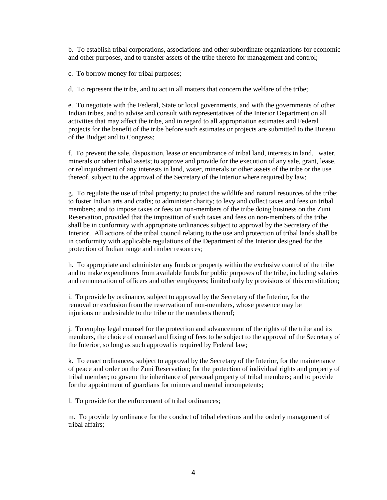b. To establish tribal corporations, associations and other subordinate organizations for economic and other purposes, and to transfer assets of the tribe thereto for management and control;

c. To borrow money for tribal purposes;

d. To represent the tribe, and to act in all matters that concern the welfare of the tribe;

e. To negotiate with the Federal, State or local governments, and with the governments of other Indian tribes, and to advise and consult with representatives of the Interior Department on all activities that may affect the tribe, and in regard to all appropriation estimates and Federal projects for the benefit of the tribe before such estimates or projects are submitted to the Bureau of the Budget and to Congress;

f. To prevent the sale, disposition, lease or encumbrance of tribal land, interests in land, water, minerals or other tribal assets; to approve and provide for the execution of any sale, grant, lease, or relinquishment of any interests in land, water, minerals or other assets of the tribe or the use thereof, subject to the approval of the Secretary of the Interior where required by law;

g. To regulate the use of tribal property; to protect the wildlife and natural resources of the tribe; to foster Indian arts and crafts; to administer charity; to levy and collect taxes and fees on tribal members; and to impose taxes or fees on non-members of the tribe doing business on the Zuni Reservation, provided that the imposition of such taxes and fees on non-members of the tribe shall be in conformity with appropriate ordinances subject to approval by the Secretary of the Interior. All actions of the tribal council relating to the use and protection of tribal lands shall be in conformity with applicable regulations of the Department of the Interior designed for the protection of Indian range and timber resources;

h. To appropriate and administer any funds or property within the exclusive control of the tribe and to make expenditures from available funds for public purposes of the tribe, including salaries and remuneration of officers and other employees; limited only by provisions of this constitution;

i. To provide by ordinance, subject to approval by the Secretary of the Interior, for the removal or exclusion from the reservation of non-members, whose presence may be injurious or undesirable to the tribe or the members thereof;

j. To employ legal counsel for the protection and advancement of the rights of the tribe and its members, the choice of counsel and fixing of fees to be subject to the approval of the Secretary of the Interior, so long as such approval is required by Federal law;

k. To enact ordinances, subject to approval by the Secretary of the Interior, for the maintenance of peace and order on the Zuni Reservation; for the protection of individual rights and property of tribal member; to govern the inheritance of personal property of tribal members; and to provide for the appointment of guardians for minors and mental incompetents;

l. To provide for the enforcement of tribal ordinances;

m. To provide by ordinance for the conduct of tribal elections and the orderly management of tribal affairs;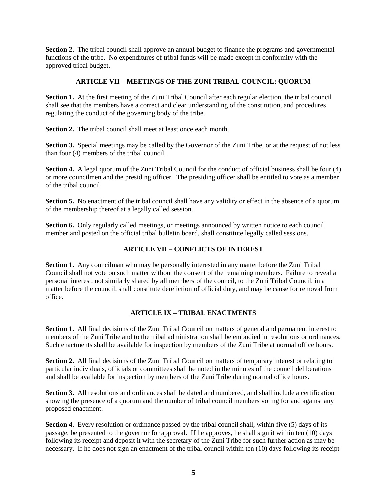**Section 2.** The tribal council shall approve an annual budget to finance the programs and governmental functions of the tribe. No expenditures of tribal funds will be made except in conformity with the approved tribal budget.

## **ARTICLE VII – MEETINGS OF THE ZUNI TRIBAL COUNCIL: QUORUM**

**Section 1.** At the first meeting of the Zuni Tribal Council after each regular election, the tribal council shall see that the members have a correct and clear understanding of the constitution, and procedures regulating the conduct of the governing body of the tribe.

**Section 2.** The tribal council shall meet at least once each month.

**Section 3.** Special meetings may be called by the Governor of the Zuni Tribe, or at the request of not less than four (4) members of the tribal council.

**Section 4.** A legal quorum of the Zuni Tribal Council for the conduct of official business shall be four (4) or more councilmen and the presiding officer. The presiding officer shall be entitled to vote as a member of the tribal council.

**Section 5.** No enactment of the tribal council shall have any validity or effect in the absence of a quorum of the membership thereof at a legally called session.

**Section 6.** Only regularly called meetings, or meetings announced by written notice to each council member and posted on the official tribal bulletin board, shall constitute legally called sessions.

## **ARTICLE VII – CONFLICTS OF INTEREST**

**Section 1.** Any councilman who may be personally interested in any matter before the Zuni Tribal Council shall not vote on such matter without the consent of the remaining members. Failure to reveal a personal interest, not similarly shared by all members of the council, to the Zuni Tribal Council, in a matter before the council, shall constitute dereliction of official duty, and may be cause for removal from office.

### **ARTICLE IX – TRIBAL ENACTMENTS**

**Section 1.** All final decisions of the Zuni Tribal Council on matters of general and permanent interest to members of the Zuni Tribe and to the tribal administration shall be embodied in resolutions or ordinances. Such enactments shall be available for inspection by members of the Zuni Tribe at normal office hours.

**Section 2.** All final decisions of the Zuni Tribal Council on matters of temporary interest or relating to particular individuals, officials or committees shall be noted in the minutes of the council deliberations and shall be available for inspection by members of the Zuni Tribe during normal office hours.

**Section 3.** All resolutions and ordinances shall be dated and numbered, and shall include a certification showing the presence of a quorum and the number of tribal council members voting for and against any proposed enactment.

**Section 4.** Every resolution or ordinance passed by the tribal council shall, within five (5) days of its passage, be presented to the governor for approval. If he approves, he shall sign it within ten (10) days following its receipt and deposit it with the secretary of the Zuni Tribe for such further action as may be necessary. If he does not sign an enactment of the tribal council within ten (10) days following its receipt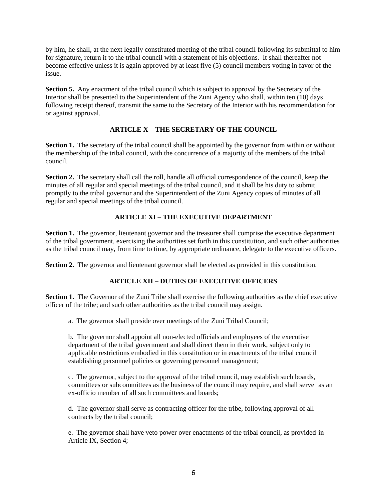by him, he shall, at the next legally constituted meeting of the tribal council following its submittal to him for signature, return it to the tribal council with a statement of his objections. It shall thereafter not become effective unless it is again approved by at least five (5) council members voting in favor of the issue.

**Section 5.** Any enactment of the tribal council which is subject to approval by the Secretary of the Interior shall be presented to the Superintendent of the Zuni Agency who shall, within ten (10) days following receipt thereof, transmit the same to the Secretary of the Interior with his recommendation for or against approval.

## **ARTICLE X – THE SECRETARY OF THE COUNCIL**

**Section 1.** The secretary of the tribal council shall be appointed by the governor from within or without the membership of the tribal council, with the concurrence of a majority of the members of the tribal council.

**Section 2.** The secretary shall call the roll, handle all official correspondence of the council, keep the minutes of all regular and special meetings of the tribal council, and it shall be his duty to submit promptly to the tribal governor and the Superintendent of the Zuni Agency copies of minutes of all regular and special meetings of the tribal council.

## **ARTICLE XI – THE EXECUTIVE DEPARTMENT**

**Section 1.** The governor, lieutenant governor and the treasurer shall comprise the executive department of the tribal government, exercising the authorities set forth in this constitution, and such other authorities as the tribal council may, from time to time, by appropriate ordinance, delegate to the executive officers.

**Section 2.** The governor and lieutenant governor shall be elected as provided in this constitution.

## **ARTICLE XII – DUTIES OF EXECUTIVE OFFICERS**

**Section 1.** The Governor of the Zuni Tribe shall exercise the following authorities as the chief executive officer of the tribe; and such other authorities as the tribal council may assign.

a. The governor shall preside over meetings of the Zuni Tribal Council;

b. The governor shall appoint all non-elected officials and employees of the executive department of the tribal government and shall direct them in their work, subject only to applicable restrictions embodied in this constitution or in enactments of the tribal council establishing personnel policies or governing personnel management;

c. The governor, subject to the approval of the tribal council, may establish such boards, committees or subcommittees as the business of the council may require, and shall serve as an ex-officio member of all such committees and boards;

d. The governor shall serve as contracting officer for the tribe, following approval of all contracts by the tribal council;

e. The governor shall have veto power over enactments of the tribal council, as provided in Article IX, Section 4;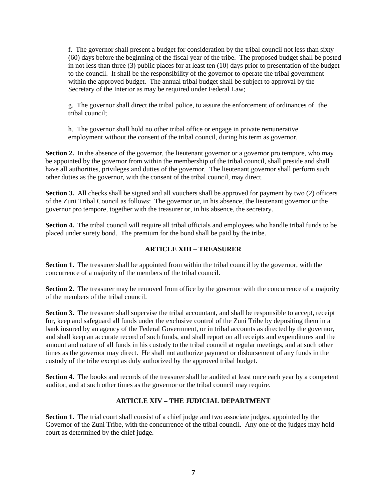f. The governor shall present a budget for consideration by the tribal council not less than sixty (60) days before the beginning of the fiscal year of the tribe. The proposed budget shall be posted in not less than three (3) public places for at least ten (10) days prior to presentation of the budget to the council. It shall be the responsibility of the governor to operate the tribal government within the approved budget. The annual tribal budget shall be subject to approval by the Secretary of the Interior as may be required under Federal Law;

g. The governor shall direct the tribal police, to assure the enforcement of ordinances of the tribal council;

h. The governor shall hold no other tribal office or engage in private remunerative employment without the consent of the tribal council, during his term as governor.

**Section 2.** In the absence of the governor, the lieutenant governor or a governor pro tempore, who may be appointed by the governor from within the membership of the tribal council, shall preside and shall have all authorities, privileges and duties of the governor. The lieutenant governor shall perform such other duties as the governor, with the consent of the tribal council, may direct.

**Section 3.** All checks shall be signed and all vouchers shall be approved for payment by two (2) officers of the Zuni Tribal Council as follows: The governor or, in his absence, the lieutenant governor or the governor pro tempore, together with the treasurer or, in his absence, the secretary.

**Section 4.** The tribal council will require all tribal officials and employees who handle tribal funds to be placed under surety bond. The premium for the bond shall be paid by the tribe.

## **ARTICLE XIII – TREASURER**

**Section 1.** The treasurer shall be appointed from within the tribal council by the governor, with the concurrence of a majority of the members of the tribal council.

**Section 2.** The treasurer may be removed from office by the governor with the concurrence of a majority of the members of the tribal council.

**Section 3.** The treasurer shall supervise the tribal accountant, and shall be responsible to accept, receipt for, keep and safeguard all funds under the exclusive control of the Zuni Tribe by depositing them in a bank insured by an agency of the Federal Government, or in tribal accounts as directed by the governor, and shall keep an accurate record of such funds, and shall report on all receipts and expenditures and the amount and nature of all funds in his custody to the tribal council at regular meetings, and at such other times as the governor may direct. He shall not authorize payment or disbursement of any funds in the custody of the tribe except as duly authorized by the approved tribal budget.

**Section 4.** The books and records of the treasurer shall be audited at least once each year by a competent auditor, and at such other times as the governor or the tribal council may require.

## **ARTICLE XIV – THE JUDICIAL DEPARTMENT**

**Section 1.** The trial court shall consist of a chief judge and two associate judges, appointed by the Governor of the Zuni Tribe, with the concurrence of the tribal council. Any one of the judges may hold court as determined by the chief judge.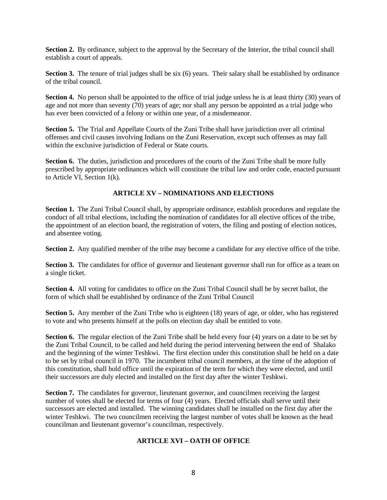**Section 2.** By ordinance, subject to the approval by the Secretary of the Interior, the tribal council shall establish a court of appeals.

**Section 3.** The tenure of trial judges shall be six (6) years. Their salary shall be established by ordinance of the tribal council.

**Section 4.** No person shall be appointed to the office of trial judge unless he is at least thirty (30) years of age and not more than seventy (70) years of age; nor shall any person be appointed as a trial judge who has ever been convicted of a felony or within one year, of a misdemeanor.

**Section 5.** The Trial and Appellate Courts of the Zuni Tribe shall have jurisdiction over all criminal offenses and civil causes involving Indians on the Zuni Reservation, except such offenses as may fall within the exclusive jurisdiction of Federal or State courts.

**Section 6.** The duties, jurisdiction and procedures of the courts of the Zuni Tribe shall be more fully prescribed by appropriate ordinances which will constitute the tribal law and order code, enacted pursuant to Article VI, Section 1(k).

## **ARTICLE XV – NOMINATIONS AND ELECTIONS**

**Section 1.** The Zuni Tribal Council shall, by appropriate ordinance, establish procedures and regulate the conduct of all tribal elections, including the nomination of candidates for all elective offices of the tribe, the appointment of an election board, the registration of voters, the filing and posting of election notices, and absentee voting.

**Section 2.** Any qualified member of the tribe may become a candidate for any elective office of the tribe.

**Section 3.** The candidates for office of governor and lieutenant governor shall run for office as a team on a single ticket.

**Section 4.** All voting for candidates to office on the Zuni Tribal Council shall be by secret ballot, the form of which shall be established by ordinance of the Zuni Tribal Council

**Section 5.** Any member of the Zuni Tribe who is eighteen (18) years of age, or older, who has registered to vote and who presents himself at the polls on election day shall be entitled to vote.

**Section 6.** The regular election of the Zuni Tribe shall be held every four (4) years on a date to be set by the Zuni Tribal Council, to be called and held during the period intervening between the end of Shalako and the beginning of the winter Teshkwi. The first election under this constitution shall be held on a date to be set by tribal council in 1970. The incumbent tribal council members, at the time of the adoption of this constitution, shall hold office until the expiration of the term for which they were elected, and until their successors are duly elected and installed on the first day after the winter Teshkwi.

**Section 7.** The candidates for governor, lieutenant governor, and councilmen receiving the largest number of votes shall be elected for terms of four (4) years. Elected officials shall serve until their successors are elected and installed. The winning candidates shall be installed on the first day after the winter Teshkwi. The two councilmen receiving the largest number of votes shall be known as the head councilman and lieutenant governor's councilman, respectively.

### **ARTICLE XVI – OATH OF OFFICE**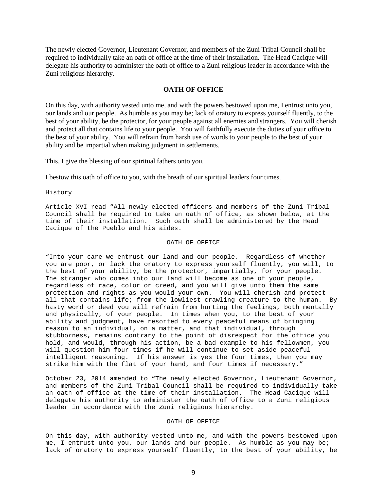The newly elected Governor, Lieutenant Governor, and members of the Zuni Tribal Council shall be required to individually take an oath of office at the time of their installation. The Head Cacique will delegate his authority to administer the oath of office to a Zuni religious leader in accordance with the Zuni religious hierarchy.

#### **OATH OF OFFICE**

On this day, with authority vested unto me, and with the powers bestowed upon me, I entrust unto you, our lands and our people. As humble as you may be; lack of oratory to express yourself fluently, to the best of your ability, be the protector, for your people against all enemies and strangers. You will cherish and protect all that contains life to your people. You will faithfully execute the duties of your office to the best of your ability. You will refrain from harsh use of words to your people to the best of your ability and be impartial when making judgment in settlements.

This, I give the blessing of our spiritual fathers onto you.

I bestow this oath of office to you, with the breath of our spiritual leaders four times.

History

Article XVI read "All newly elected officers and members of the Zuni Tribal Council shall be required to take an oath of office, as shown below, at the time of their installation. Such oath shall be administered by the Head Cacique of the Pueblo and his aides.

#### OATH OF OFFICE

"Into your care we entrust our land and our people. Regardless of whether you are poor, or lack the oratory to express yourself fluently, you will, to the best of your ability, be the protector, impartially, for your people. The stranger who comes into our land will become as one of your people, regardless of race, color or creed, and you will give unto them the same protection and rights as you would your own. You will cherish and protect all that contains life; from the lowliest crawling creature to the human. By hasty word or deed you will refrain from hurting the feelings, both mentally and physically, of your people. In times when you, to the best of your ability and judgment, have resorted to every peaceful means of bringing reason to an individual, on a matter, and that individual, through stubborness, remains contrary to the point of disrespect for the office you hold, and would, through his action, be a bad example to his fellowmen, you will question him four times if he will continue to set aside peaceful intelligent reasoning. If his answer is yes the four times, then you may strike him with the flat of your hand, and four times if necessary."

October 23, 2014 amended to "The newly elected Governor, Lieutenant Governor, and members of the Zuni Tribal Council shall be required to individually take an oath of office at the time of their installation. The Head Cacique will delegate his authority to administer the oath of office to a Zuni religious leader in accordance with the Zuni religious hierarchy.

#### OATH OF OFFICE

On this day, with authority vested unto me, and with the powers bestowed upon me, I entrust unto you, our lands and our people. As humble as you may be; lack of oratory to express yourself fluently, to the best of your ability, be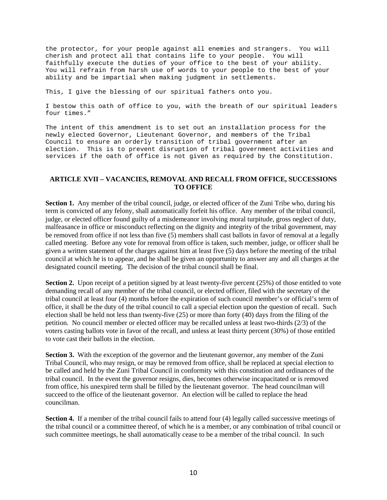the protector, for your people against all enemies and strangers. You will cherish and protect all that contains life to your people. You will faithfully execute the duties of your office to the best of your ability. You will refrain from harsh use of words to your people to the best of your ability and be impartial when making judgment in settlements.

This, I give the blessing of our spiritual fathers onto you.

I bestow this oath of office to you, with the breath of our spiritual leaders four times."

The intent of this amendment is to set out an installation process for the newly elected Governor, Lieutenant Governor, and members of the Tribal Council to ensure an orderly transition of tribal government after an election. This is to prevent disruption of tribal government activities and services if the oath of office is not given as required by the Constitution.

#### **ARTICLE XVII – VACANCIES, REMOVAL AND RECALL FROM OFFICE, SUCCESSIONS TO OFFICE**

**Section 1.** Any member of the tribal council, judge, or elected officer of the Zuni Tribe who, during his term is convicted of any felony, shall automatically forfeit his office. Any member of the tribal council, judge, or elected officer found guilty of a misdemeanor involving moral turpitude, gross neglect of duty, malfeasance in office or misconduct reflecting on the dignity and integrity of the tribal government, may be removed from office if not less than five (5) members shall cast ballots in favor of removal at a legally called meeting. Before any vote for removal from office is taken, such member, judge, or officer shall be given a written statement of the charges against him at least five (5) days before the meeting of the tribal council at which he is to appear, and he shall be given an opportunity to answer any and all charges at the designated council meeting. The decision of the tribal council shall be final.

**Section 2.** Upon receipt of a petition signed by at least twenty-five percent (25%) of those entitled to vote demanding recall of any member of the tribal council, or elected officer, filed with the secretary of the tribal council at least four (4) months before the expiration of such council member's or official's term of office, it shall be the duty of the tribal council to call a special election upon the question of recall. Such election shall be held not less than twenty-five (25) or more than forty (40) days from the filing of the petition. No council member or elected officer may be recalled unless at least two-thirds (2/3) of the voters casting ballots vote in favor of the recall, and unless at least thirty percent (30%) of those entitled to vote cast their ballots in the election.

**Section 3.** With the exception of the governor and the lieutenant governor, any member of the Zuni Tribal Council, who may resign, or may be removed from office, shall be replaced at special election to be called and held by the Zuni Tribal Council in conformity with this constitution and ordinances of the tribal council. In the event the governor resigns, dies, becomes otherwise incapacitated or is removed from office, his unexpired term shall be filled by the lieutenant governor. The head councilman will succeed to the office of the lieutenant governor. An election will be called to replace the head councilman.

**Section 4.** If a member of the tribal council fails to attend four (4) legally called successive meetings of the tribal council or a committee thereof, of which he is a member, or any combination of tribal council or such committee meetings, he shall automatically cease to be a member of the tribal council. In such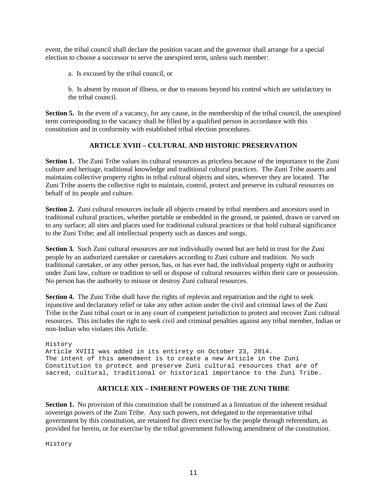event, the tribal council shall declare the position vacant and the governor shall arrange for a special election to choose a successor to serve the unexpired term, unless such member:

a. Is excused by the tribal council, or

b. Is absent by reason of illness, or due to reasons beyond his control which are satisfactory to the tribal council.

**Section 5.** In the event of a vacancy, for any cause, in the membership of the tribal council, the unexpired term corresponding to the vacancy shall be filled by a qualified person in accordance with this constitution and in conformity with established tribal election procedures.

## **ARTICLE XVIII – CULTURAL AND HISTORIC PRESERVATION**

**Section 1.** The Zuni Tribe values its cultural resources as priceless because of the importance to the Zuni culture and heritage, traditional knowledge and traditional cultural practices. The Zuni Tribe asserts and maintains collective property rights in tribal cultural objects and sites, wherever they are located. The Zuni Tribe asserts the collective right to maintain, control, protect and preserve its cultural resources on behalf of its people and culture.

**Section 2.** Zuni cultural resources include all objects created by tribal members and ancestors used in traditional cultural practices, whether portable or embedded in the ground, or painted, drawn or carved on to any surface; all sites and places used for traditional cultural practices or that hold cultural significance to the Zuni Tribe; and all intellectual property such as dances and songs.

**Section 3.** Such Zuni cultural resources are not individually owned but are held in trust for the Zuni people by an authorized caretaker or caretakers according to Zuni culture and tradition. No such traditional caretaker, or any other person, has, or has ever had, the individual property right or authority under Zuni law, culture or tradition to sell or dispose of cultural resources within their care or possession. No person has the authority to misuse or destroy Zuni cultural resources.

**Section 4.** The Zuni Tribe shall have the rights of replevin and repatriation and the right to seek injunctive and declaratory relief or take any other action under the civil and criminal laws of the Zuni Tribe in the Zuni tribal court or in any court of competent jurisdiction to protect and recover Zuni cultural resources. This includes the right to seek civil and criminal penalties against any tribal member, Indian or non-Indian who violates this Article.

History Article XVIII was added in its entirety on October 23, 2014. The intent of this amendment is to create a new Article in the Zuni Constitution to protect and preserve Zuni cultural resources that are of sacred, cultural, traditional or historical importance to the Zuni Tribe.

## **ARTICLE XIX – INHERENT POWERS OF THE ZUNI TRIBE**

**Section 1.** No provision of this constitution shall be construed as a limitation of the inherent residual sovereign powers of the Zuni Tribe. Any such powers, not delegated to the representative tribal government by this constitution, are retained for direct exercise by the people through referendum, as provided for herein, or for exercise by the tribal government following amendment of the constitution.

History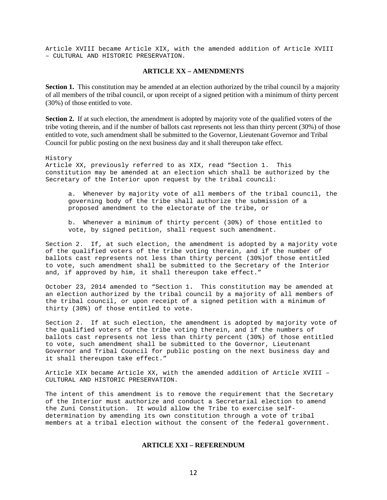Article XVIII became Article XIX, with the amended addition of Article XVIII – CULTURAL AND HISTORIC PRESERVATION.

#### **ARTICLE XX – AMENDMENTS**

**Section 1.** This constitution may be amended at an election authorized by the tribal council by a majority of all members of the tribal council, or upon receipt of a signed petition with a minimum of thirty percent (30%) of those entitled to vote.

**Section 2.** If at such election, the amendment is adopted by majority vote of the qualified voters of the tribe voting therein, and if the number of ballots cast represents not less than thirty percent (30%) of those entitled to vote, such amendment shall be submitted to the Governor, Lieutenant Governor and Tribal Council for public posting on the next business day and it shall thereupon take effect.

History Article XX, previously referred to as XIX, read "Section 1. This constitution may be amended at an election which shall be authorized by the Secretary of the Interior upon request by the tribal council: a. Whenever by majority vote of all members of the tribal council, the governing body of the tribe shall authorize the submission of a proposed amendment to the electorate of the tribe, or b. Whenever a minimum of thirty percent (30%) of those entitled to vote, by signed petition, shall request such amendment. Section 2. If, at such election, the amendment is adopted by a majority vote of the qualified voters of the tribe voting therein, and if the number of ballots cast represents not less than thirty percent (30%)of those entitled to vote, such amendment shall be submitted to the Secretary of the Interior and, if approved by him, it shall thereupon take effect."

October 23, 2014 amended to "Section 1**.** This constitution may be amended at an election authorized by the tribal council by a majority of all members of the tribal council, or upon receipt of a signed petition with a minimum of thirty (30%) of those entitled to vote.

Section 2.If at such election, the amendment is adopted by majority vote of the qualified voters of the tribe voting therein, and if the numbers of ballots cast represents not less than thirty percent (30%) of those entitled to vote, such amendment shall be submitted to the Governor, Lieutenant Governor and Tribal Council for public posting on the next business day and it shall thereupon take effect."

Article XIX became Article XX, with the amended addition of Article XVIII – CULTURAL AND HISTORIC PRESERVATION.

The intent of this amendment is to remove the requirement that the Secretary of the Interior must authorize and conduct a Secretarial election to amend the Zuni Constitution. It would allow the Tribe to exercise selfdetermination by amending its own constitution through a vote of tribal members at a tribal election without the consent of the federal government.

#### **ARTICLE XXI – REFERENDUM**

12